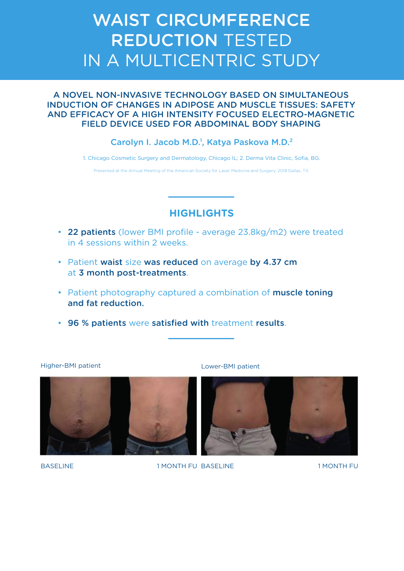# WAIST CIRCUMFERENCE REDUCTION TESTED IN A MULTICENTRIC STUDY

#### A NOVEL NON-INVASIVE TECHNOLOGY BASED ON SIMULTANEOUS INDUCTION OF CHANGES IN ADIPOSE AND MUSCLE TISSUES: SAFETY AND EFFICACY OF A HIGH INTENSITY FOCUSED ELECTRO-MAGNETIC FIELD DEVICE USED FOR ABDOMINAL BODY SHAPING

#### Carolyn I. Jacob M.D.<sup>1</sup>, Katya Paskova M.D.<sup>2</sup>

1. Chicago Cosmetic Surgery and Dermatology, Chicago IL; 2. Derma Vita Clinic, Sofia, BG.

Presented at the Annual Meeting of the American Society for Laser Medicine and Surgery, 2018 Dallas, TX.

## **HIGHLIGHTS**

- 22 patients (lower BMI profile average 23.8kg/m2) were treated in 4 sessions within 2 weeks.
- Patient waist size was reduced on average by 4.37 cm at 3 month post-treatments.
- Patient photography captured a combination of muscle toning and fat reduction.
- 96 % patients were satisfied with treatment results.

Higher-BMI patient Lower-BMI patient





BASELINE 1 MONTH FU BASELINE 1 MONTH FU BASELINE